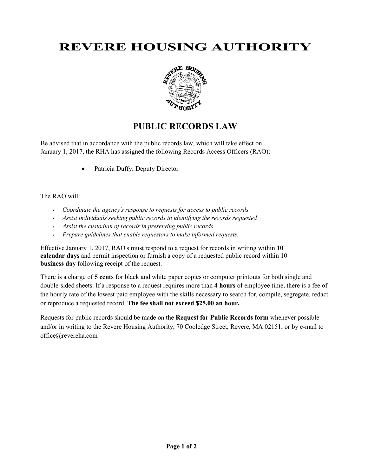# **REVERE HOUSING AUTHORITY**



## **PUBLIC RECORDS LAW**

Be advised that in accordance with the public records law, which will take effect on January 1, 2017, the RHA has assigned the following Records Access Officers (RAO):

• Patricia Duffy, Deputy Director

#### The RAO will:

- *Coordinate the agency's response to requests for access to public records*
- *Assist individuals seeking public records in identifying the records requested*
- *Assist the custodian of records in preserving public records*
- *Prepare guidelines that enable requestors to make informed requests.*

Effective January 1, 2017, RAO's must respond to a request for records in writing within **10 calendar days** and permit inspection or furnish a copy of a requested public record within 10 **business day** following receipt of the request.

There is a charge of **5 cents** for black and white paper copies or computer printouts for both single and double-sided sheets. If a response to a request requires more than **4 hours** of employee time, there is a fee of the hourly rate of the lowest paid employee with the skills necessary to search for, compile, segregate, redact or reproduce a requested record. **The fee shall not exceed \$25.00 an hour.**

Requests for public records should be made on the **Request for Public Records form** whenever possible and/or in writing to the Revere Housing Authority, 70 Cooledge Street, Revere, MA 02151, or by e-mail to office@revereha.com